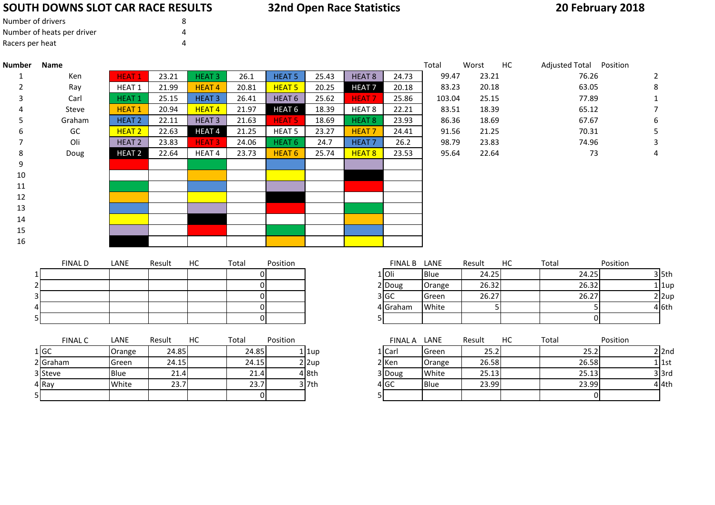#### **SOUTH DOWNS SLOT CAR RACE RESULTS**

### **20 February 2018**

| Number of drivers          | 8 |
|----------------------------|---|
| Number of heats per driver |   |
| Racers per heat            | Δ |

| 23.21<br><b>HEAT 5</b><br>99.47<br>76.26<br>Ken<br><b>HEAT1</b><br>23.21<br>HEAT <sub>3</sub><br>26.1<br>25.43<br>HEAT 8<br>24.73<br>1<br><b>HEAT 5</b><br>63.05<br>HEAT 1<br>21.99<br><b>HEAT4</b><br>20.81<br>20.25<br><b>HEAT7</b><br>20.18<br>83.23<br>20.18<br>Ray<br><b>HEAT1</b><br>25.15<br>HEAT <sub>3</sub><br>26.41<br>HEAT <sub>6</sub><br>25.62<br><b>HEAT7</b><br>25.86<br>25.15<br>77.89<br>Carl<br>103.04<br>20.94<br>21.97<br>HEAT <sub>6</sub><br>18.39<br>22.21<br>18.39<br><b>HEAT1</b><br>HEAT <sub>4</sub><br>HEAT 8<br>83.51<br>65.12<br>Steve<br>21.63<br>18.69<br>67.67<br>Graham<br><b>HEAT 2</b><br>22.11<br>HEAT <sub>3</sub><br><b>HEAT 5</b><br>18.69<br>HEAT 8<br>23.93<br>86.36<br>GC<br>21.25<br><b>HEAT 2</b><br>22.63<br>HEAT <sub>4</sub><br>21.25<br>HEAT <sub>5</sub><br>23.27<br><b>HEAT7</b><br>70.31<br>24.41<br>91.56<br>Oli<br>HEAT <sub>2</sub><br>23.83<br>24.06<br>HEAT <sub>6</sub><br>HEAT <sub>7</sub><br>26.2<br>74.96<br><b>HEAT3</b><br>24.7<br>98.79<br>23.83<br>HEAT <sub>6</sub><br>HEAT 8<br>22.64<br>73<br>8<br><b>HEAT 2</b><br>22.64<br>23.73<br>25.74<br>95.64<br>Doug<br>HEAT <sub>4</sub><br>23.53<br>9<br>$10\,$<br>11<br>12<br>13<br>14<br>15<br>16 | Adjusted Total Position |
|---------------------------------------------------------------------------------------------------------------------------------------------------------------------------------------------------------------------------------------------------------------------------------------------------------------------------------------------------------------------------------------------------------------------------------------------------------------------------------------------------------------------------------------------------------------------------------------------------------------------------------------------------------------------------------------------------------------------------------------------------------------------------------------------------------------------------------------------------------------------------------------------------------------------------------------------------------------------------------------------------------------------------------------------------------------------------------------------------------------------------------------------------------------------------------------------------------------------|-------------------------|
|                                                                                                                                                                                                                                                                                                                                                                                                                                                                                                                                                                                                                                                                                                                                                                                                                                                                                                                                                                                                                                                                                                                                                                                                                     | 2                       |
|                                                                                                                                                                                                                                                                                                                                                                                                                                                                                                                                                                                                                                                                                                                                                                                                                                                                                                                                                                                                                                                                                                                                                                                                                     | 8                       |
|                                                                                                                                                                                                                                                                                                                                                                                                                                                                                                                                                                                                                                                                                                                                                                                                                                                                                                                                                                                                                                                                                                                                                                                                                     |                         |
|                                                                                                                                                                                                                                                                                                                                                                                                                                                                                                                                                                                                                                                                                                                                                                                                                                                                                                                                                                                                                                                                                                                                                                                                                     |                         |
|                                                                                                                                                                                                                                                                                                                                                                                                                                                                                                                                                                                                                                                                                                                                                                                                                                                                                                                                                                                                                                                                                                                                                                                                                     | 6                       |
|                                                                                                                                                                                                                                                                                                                                                                                                                                                                                                                                                                                                                                                                                                                                                                                                                                                                                                                                                                                                                                                                                                                                                                                                                     | 5                       |
|                                                                                                                                                                                                                                                                                                                                                                                                                                                                                                                                                                                                                                                                                                                                                                                                                                                                                                                                                                                                                                                                                                                                                                                                                     | 3                       |
|                                                                                                                                                                                                                                                                                                                                                                                                                                                                                                                                                                                                                                                                                                                                                                                                                                                                                                                                                                                                                                                                                                                                                                                                                     | 4                       |
|                                                                                                                                                                                                                                                                                                                                                                                                                                                                                                                                                                                                                                                                                                                                                                                                                                                                                                                                                                                                                                                                                                                                                                                                                     |                         |
|                                                                                                                                                                                                                                                                                                                                                                                                                                                                                                                                                                                                                                                                                                                                                                                                                                                                                                                                                                                                                                                                                                                                                                                                                     |                         |
|                                                                                                                                                                                                                                                                                                                                                                                                                                                                                                                                                                                                                                                                                                                                                                                                                                                                                                                                                                                                                                                                                                                                                                                                                     |                         |
|                                                                                                                                                                                                                                                                                                                                                                                                                                                                                                                                                                                                                                                                                                                                                                                                                                                                                                                                                                                                                                                                                                                                                                                                                     |                         |
|                                                                                                                                                                                                                                                                                                                                                                                                                                                                                                                                                                                                                                                                                                                                                                                                                                                                                                                                                                                                                                                                                                                                                                                                                     |                         |
|                                                                                                                                                                                                                                                                                                                                                                                                                                                                                                                                                                                                                                                                                                                                                                                                                                                                                                                                                                                                                                                                                                                                                                                                                     |                         |
|                                                                                                                                                                                                                                                                                                                                                                                                                                                                                                                                                                                                                                                                                                                                                                                                                                                                                                                                                                                                                                                                                                                                                                                                                     |                         |
|                                                                                                                                                                                                                                                                                                                                                                                                                                                                                                                                                                                                                                                                                                                                                                                                                                                                                                                                                                                                                                                                                                                                                                                                                     |                         |
| <b>FINAL D</b><br>HC<br>Position<br>FINAL B LANE<br>Position<br>LANE<br>Result<br>Result<br>HC.<br>Total<br>Total                                                                                                                                                                                                                                                                                                                                                                                                                                                                                                                                                                                                                                                                                                                                                                                                                                                                                                                                                                                                                                                                                                   |                         |
| 24.25<br>1 Oli<br>Blue<br>24.25<br>01                                                                                                                                                                                                                                                                                                                                                                                                                                                                                                                                                                                                                                                                                                                                                                                                                                                                                                                                                                                                                                                                                                                                                                               | $3$ 5th                 |
| 26.32<br>26.32<br>0<br>2 Doug<br>Orange                                                                                                                                                                                                                                                                                                                                                                                                                                                                                                                                                                                                                                                                                                                                                                                                                                                                                                                                                                                                                                                                                                                                                                             | $1 1$ up                |
| 3 GC<br>26.27<br>26.27<br>Green<br>01                                                                                                                                                                                                                                                                                                                                                                                                                                                                                                                                                                                                                                                                                                                                                                                                                                                                                                                                                                                                                                                                                                                                                                               | $2$  2up                |
| 4 Graham<br>White<br>5<br>0<br>5                                                                                                                                                                                                                                                                                                                                                                                                                                                                                                                                                                                                                                                                                                                                                                                                                                                                                                                                                                                                                                                                                                                                                                                    | 4 6th                   |
| $\overline{0}$<br>0<br>5.                                                                                                                                                                                                                                                                                                                                                                                                                                                                                                                                                                                                                                                                                                                                                                                                                                                                                                                                                                                                                                                                                                                                                                                           |                         |

|    | <b>FINAL C</b> | LANE        | Result | нс | Total | Position |                  | <b>FINAL A</b> | LANE           | Result | НC | Total |
|----|----------------|-------------|--------|----|-------|----------|------------------|----------------|----------------|--------|----|-------|
|    | 1 GC           | Orange      | 24.85  |    | 24.85 |          | $1$   1up        | 1   Carl       | <b>I</b> Green | 25.2   |    | 25.2  |
|    | 2 Graham       | lGreen.     | 24.15  |    | 24.15 |          | $2$  2up         | 2 Ken          | Orange         | 26.58  |    | 26.58 |
|    | 3 Steve        | <b>Blue</b> | 21.4   |    | 21.4  |          | 4 <sub>8th</sub> | 3 Doug         | White          | 25.13  |    | 25.13 |
|    | 4 Ray          | White       | 23.7   |    | 23.7  |          | 3 l7th           | 4 GC           | <b>Blue</b>    | 23.99  |    | 23.99 |
| 51 |                |             |        |    |       |          |                  |                |                |        |    |       |

| <b>FINAL C</b> | LANE         | Result | HC | Total | Position |          | <b>FINAL A</b>  | LANE        | Result | HC | Total | Position |            |
|----------------|--------------|--------|----|-------|----------|----------|-----------------|-------------|--------|----|-------|----------|------------|
|                | Orange       | 24.85  |    | 24.85 |          | l 1up    | 1 Carl          | Green       | 25.2   |    | 25.2  |          | $2$  2nd   |
| raham          | <b>Green</b> | 24.15  |    | 24.15 |          | $2$  2up | 2 Ken           | Orange      | 26.58  |    | 26.58 |          | 1   1st    |
| teve           | <b>Blue</b>  | 21.4   |    | 21.4  |          | 4 8th    | 3 Doug          | White       | 25.13  |    | 25.13 |          | $3$ $3$ rd |
|                | White        | 23.7   |    | 23.7  |          | 3l7th    | 4 <sub>GC</sub> | <b>Blue</b> | 23.99  |    | 23.99 |          | $4$ 4th    |
|                |              |        |    |       |          |          |                 |             |        |    |       |          |            |